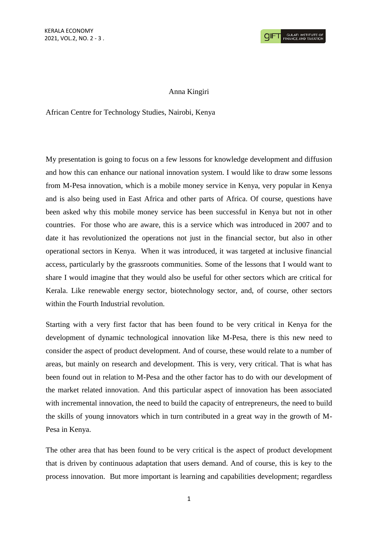## Anna Kingiri

African Centre for Technology Studies, Nairobi, Kenya

My presentation is going to focus on a few lessons for knowledge development and diffusion and how this can enhance our national innovation system. I would like to draw some lessons from M-Pesa innovation, which is a mobile money service in Kenya, very popular in Kenya and is also being used in East Africa and other parts of Africa. Of course, questions have been asked why this mobile money service has been successful in Kenya but not in other countries. For those who are aware, this is a service which was introduced in 2007 and to date it has revolutionized the operations not just in the financial sector, but also in other operational sectors in Kenya. When it was introduced, it was targeted at inclusive financial access, particularly by the grassroots communities. Some of the lessons that I would want to share I would imagine that they would also be useful for other sectors which are critical for Kerala. Like renewable energy sector, biotechnology sector, and, of course, other sectors within the Fourth Industrial revolution.

Starting with a very first factor that has been found to be very critical in Kenya for the development of dynamic technological innovation like M-Pesa, there is this new need to consider the aspect of product development. And of course, these would relate to a number of areas, but mainly on research and development. This is very, very critical. That is what has been found out in relation to M-Pesa and the other factor has to do with our development of the market related innovation. And this particular aspect of innovation has been associated with incremental innovation, the need to build the capacity of entrepreneurs, the need to build the skills of young innovators which in turn contributed in a great way in the growth of M-Pesa in Kenya.

The other area that has been found to be very critical is the aspect of product development that is driven by continuous adaptation that users demand. And of course, this is key to the process innovation. But more important is learning and capabilities development; regardless